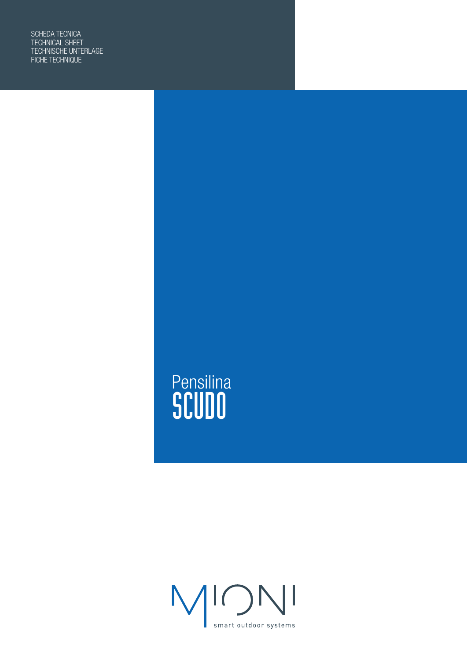SCHEDA TECNICA TECHNICAL SHEET TECHNISCHE UNTERLAGE FICHE TECHNIQUE

# Pensilina SCUDO

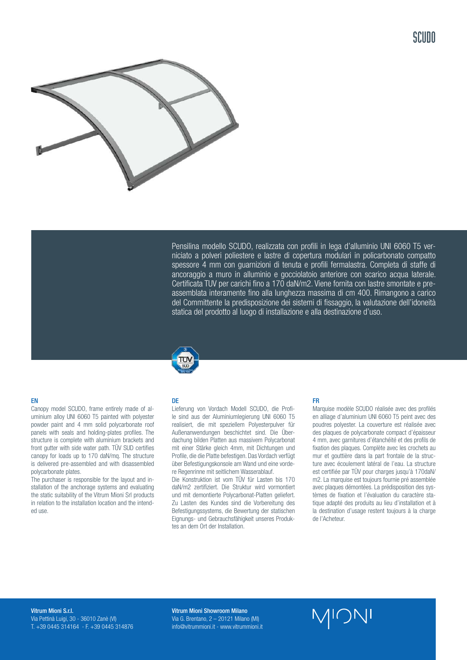

Pensilina modello SCUDO, realizzata con profili in lega d'alluminio UNI 6060 T5 verniciato a polveri poliestere e lastre di copertura modulari in policarbonato compatto spessore 4 mm con guarnizioni di tenuta e profili fermalastra. Completa di staffe di ancoraggio a muro in alluminio e gocciolatoio anteriore con scarico acqua laterale. Certificata TUV per carichi fino a 170 daN/m2. Viene fornita con lastre smontate e preassemblata interamente fino alla lunghezza massima di cm 400. Rimangono a carico del Committente la predisposizione dei sistemi di fissaggio, la valutazione dell'idoneità statica del prodotto al luogo di installazione e alla destinazione d'uso.

### EN

Canopy model SCUDO, frame entirely made of aluminium alloy UNI 6060 T5 painted with polyester powder paint and 4 mm solid polycarbonate roof panels with seals and holding-plates profiles. The structure is complete with aluminium brackets and front gutter with side water path. TÜV SUD certifies canopy for loads up to 170 daN/mq. The structure is delivered pre-assembled and with disassembled polycarbonate plates.

The purchaser is responsible for the layout and installation of the anchorage systems and evaluating the static suitability of the Vitrum Mioni Srl products in relation to the installation location and the intended use.

#### DE

Lieferung von Vordach Modell SCUDO, die Profile sind aus der Aluminiumlegierung UNI 6060 T5 realisiert, die mit speziellem Polyesterpulver für Außenanwendungen beschichtet sind. Die Überdachung bilden Platten aus massivem Polycarbonat mit einer Stärke gleich 4mm, mit Dichtungen und Profile, die die Platte befestigen. Das Vordach verfügt über Befestigungskonsole am Wand und eine vordere Regenrinne mit seitlichem Wasserablauf.

Die Konstruktion ist vom TÜV für Lasten bis 170 daN/m2 zertifiziert. Die Struktur wird vormontiert und mit demontierte Polycarbonat-Platten geliefert. Zu Lasten des Kundes sind die Vorbereitung des Befestigungssystems, die Bewertung der statischen Eignungs- und Gebrauchsfähigkeit unseres Produktes an dem Ort der Installation.

### FR

Marquise modèle SCUDO réalisée avec des profilés en alliage d'aluminium UNI 6060 T5 peint avec des poudres polyester. La couverture est réalisée avec des plaques de polycarbonate compact d'épaisseur 4 mm, avec garnitures d'étanchéité et des profils de fixation des plaques. Complète avec les crochets au mur et gouttière dans la part frontale de la structure avec écoulement latéral de l'eau. La structure est certifiée par TÜV pour charges jusqu'à 170daN/ m2. La marquise est toujours fournie pré assemblée avec plaques démontées. La prédisposition des systèmes de fixation et l'évaluation du caractère statique adapté des produits au lieu d'installation et à la destination d'usage restent toujours à la charge de l'Acheteur.

Vitrum Mioni S.r.l. Via Pettinà Luigi, 30 - 36010 Zanè (VI) T. +39 0445 314164 - F. +39 0445 314876 Vitrum Mioni Showroom Milano Via G. Brentano, 2 – 20121 Milano (MI) info@vitrummioni.it - www.vitrummioni.it

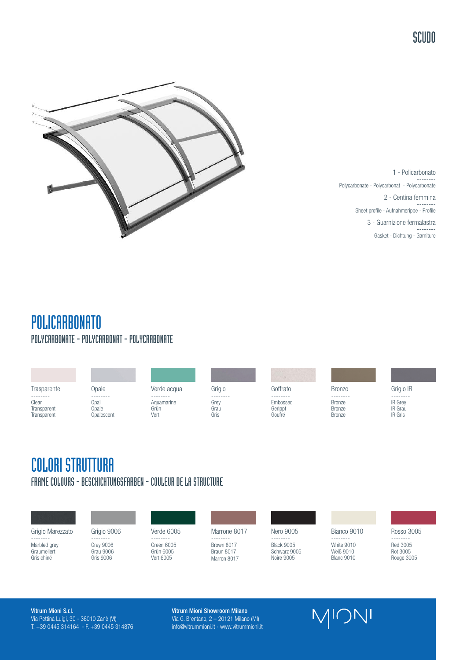SCUDO



1 - Policarbonato -------- Polycarbonate - Polycarbonat - Polycarbonate 2 - Centina femmina -------- Sheet profile - Aufnahmerippe - Profile 3 - Guarnizione fermalastra -------- Gasket - Dichtung - Garniture

### POLICARBONATO POLYCARBONATE - POLYCARBONAT - POLYCARBONATE

|                                                 |                                         |                                        |                                  | $\sim$<br>メート 定                           |                                               |                                                         |
|-------------------------------------------------|-----------------------------------------|----------------------------------------|----------------------------------|-------------------------------------------|-----------------------------------------------|---------------------------------------------------------|
| Trasparente                                     | Opale                                   | Verde acqua                            | Grigio                           | Goffrato                                  | <b>Bronzo</b>                                 | Grigio IR                                               |
| --------<br>Clear<br>Transparent<br>Transparent | --------<br>Opal<br>Opale<br>Opalescent | --------<br>Aquamarine<br>Grün<br>Vert | --------<br>Grey<br>Grau<br>Gris | --------<br>Embossed<br>Gerippt<br>Goufré | --------<br>Bronze<br><b>Bronze</b><br>Bronze | --------<br>IR Grey<br><b>IR</b> Grau<br><b>IR Gris</b> |
|                                                 |                                         |                                        |                                  |                                           |                                               |                                                         |

### COLORI STRUTTURA FRAME COLOURS - BESCHICHTUNGSFARBEN - COULEUR DE LA STRUCTURE

Grigio Marezzato -------- Marbled grey **Graumeliert** 

Gris chiné

Grigio 9006 -------- Grey 9006 Grau 9006 Gris 9006

Verde 6005 -------- Green 6005 Grün 6005 Vert 6005

Marrone 8017 -------- Brown 8017

Braun 8017 Marron 8017

Nero 9005 -------- Black 9005 Schwarz 9005 Noire 9005

Bianco 9010 -------- White 9010 Weiß 9010 Blanc 9010

Rosso 3005

-------- Red 3005 Rot 3005 Rouge 3005

Vitrum Mioni S.r.l. Via Pettinà Luigi, 30 - 36010 Zanè (VI) T. +39 0445 314164 - F. +39 0445 314876 Vitrum Mioni Showroom Milano Via G. Brentano, 2 – 20121 Milano (MI) info@vitrummioni.it - www.vitrummioni.it MIONI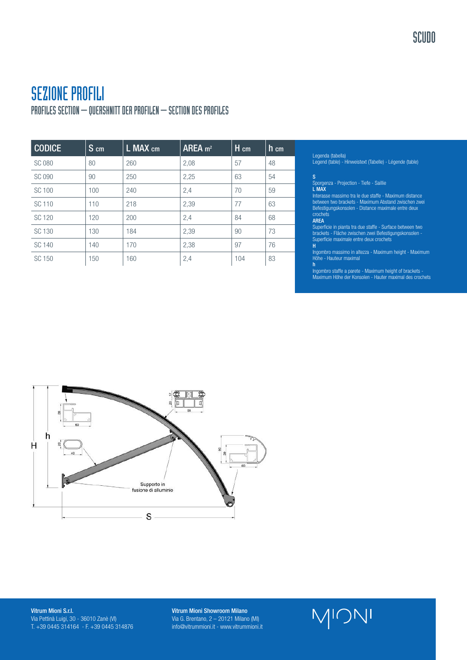## SEZIONE PROFILI

PROFILES SECTION – QUERSHNITT DER PROFILEN – SECTION DES PROFILES

| <b>CODICE</b> | $S$ cm | L MAX cm | AREA $m2$ | H cm | h cm |
|---------------|--------|----------|-----------|------|------|
| <b>SC 080</b> | 80     | 260      | 2,08      | 57   | 48   |
| <b>SC 090</b> | 90     | 250      | 2,25      | 63   | 54   |
| SC 100        | 100    | 240      | 2,4       | 70   | 59   |
| SC 110        | 110    | 218      | 2,39      | 77   | 63   |
| SC 120        | 120    | 200      | 2,4       | 84   | 68   |
| SC 130        | 130    | 184      | 2,39      | 90   | 73   |
| SC 140        | 140    | 170      | 2,38      | 97   | 76   |
| SC 150        | 150    | 160      | 2,4       | 104  | 83   |

### Legenda (tabella)

Legend (table) - Hinweistext (Tabelle) - Légende (table)

### S

Sporgenza - Projection - Tiefe - Saillie L MAX

Interasse massimo tra le due staffe - Maximum distance between two brackets - Maximum Abstand zwischen zwei Befestigungskonsolen - Distance maximale entre deux crochets AREA

Superficie in pianta tra due staffe - Surface between two brackets - Fläche zwischen zwei Befestigungskonsolen - Superficie maximale entre deux crochets

Ingombro massimo in altezza - Maximum height - Maximum Höhe - Hauteur maximal h

..<br>Ingombro staffe a parete - Maximum height of brackets -Maximum Höhe der Konsolen - Hauter maximal des crochets



Vitrum Mioni S.r.l. Via Pettinà Luigi, 30 - 36010 Zanè (VI) T. +39 0445 314164 - F. +39 0445 314876 Vitrum Mioni Showroom Milano Via G. Brentano, 2 – 20121 Milano (MI) info@vitrummioni.it - www.vitrummioni.it